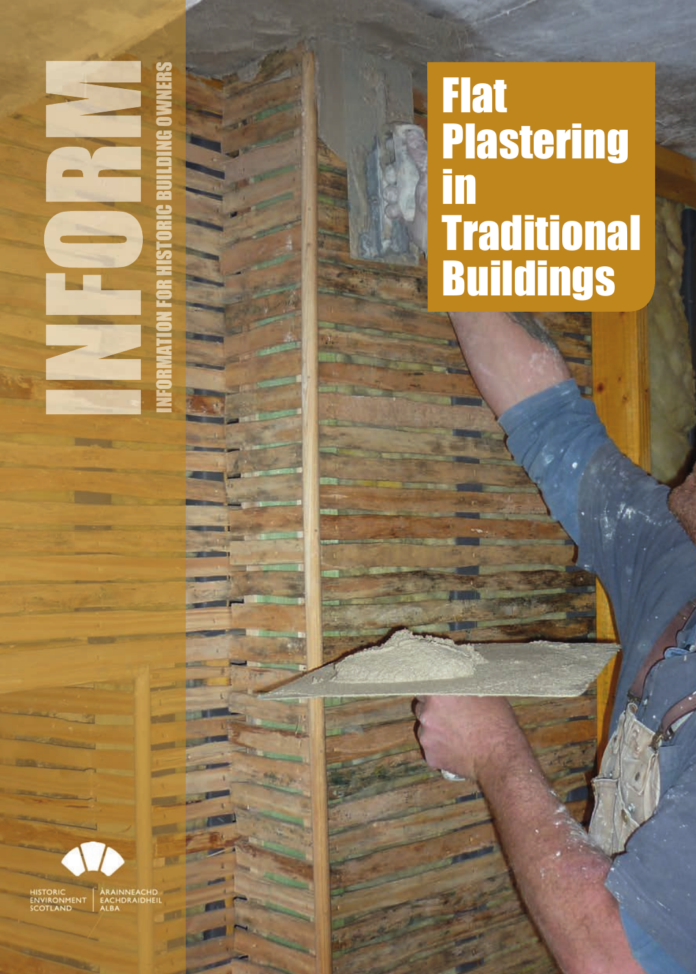# **Flat Plastering** in Traditional Buildings

HISTORIC<br>ENVIRONMENT EACH<br>SCOTLAND ALBA

IN

FORMAT

g N

**DROICE CONSUME** 

V CHANNEL SING CHANNEL SO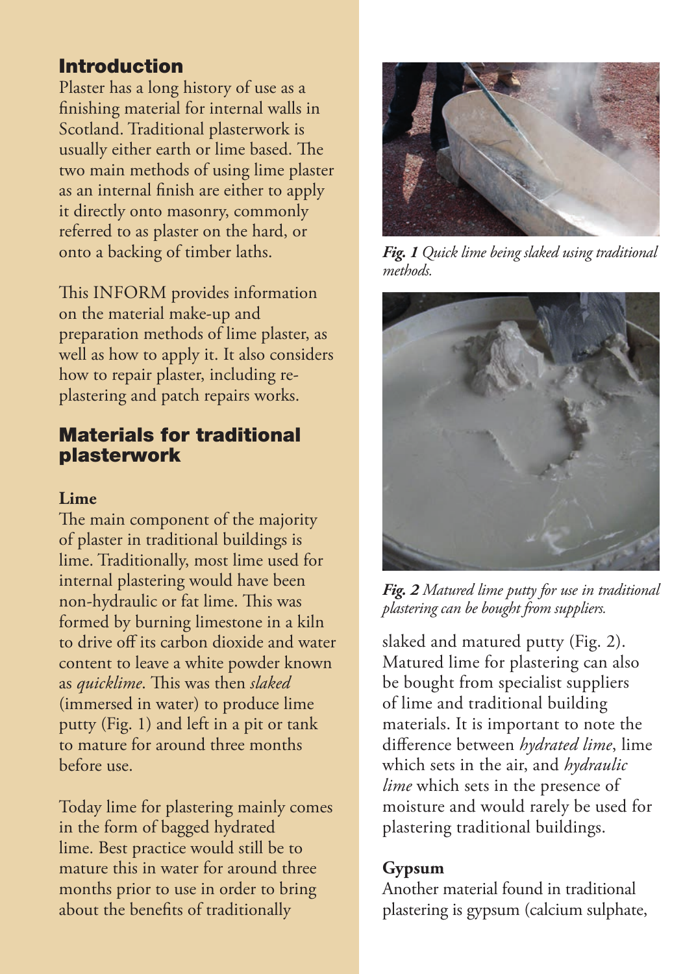# **Introduction**

Plaster has a long history of use as a finishing material for internal walls in Scotland. Traditional plasterwork is usually either earth or lime based. The two main methods of using lime plaster as an internal finish are either to apply it directly onto masonry, commonly referred to as plaster on the hard, or onto a backing of timber laths.

This INFORM provides information on the material make-up and preparation methods of lime plaster, as well as how to apply it. It also considers how to repair plaster, including replastering and patch repairs works.

## **Materials for traditional plasterwork**

#### **Lime**

The main component of the majority of plaster in traditional buildings is lime. Traditionally, most lime used for internal plastering would have been non-hydraulic or fat lime. This was formed by burning limestone in a kiln to drive off its carbon dioxide and water content to leave a white powder known as *quicklime*. This was then *slaked* (immersed in water) to produce lime putty (Fig. 1) and left in a pit or tank to mature for around three months before use.

Today lime for plastering mainly comes in the form of bagged hydrated lime. Best practice would still be to mature this in water for around three months prior to use in order to bring about the benefits of traditionally



*Fig. 1 Quick lime being slaked using traditional methods.*



*Fig. 2 Matured lime putty for use in traditional plastering can be bought from suppliers.*

slaked and matured putty (Fig. 2). Matured lime for plastering can also be bought from specialist suppliers of lime and traditional building materials. It is important to note the difference between *hydrated lime*, lime which sets in the air, and *hydraulic lime* which sets in the presence of moisture and would rarely be used for plastering traditional buildings.

#### **Gypsum**

Another material found in traditional plastering is gypsum (calcium sulphate,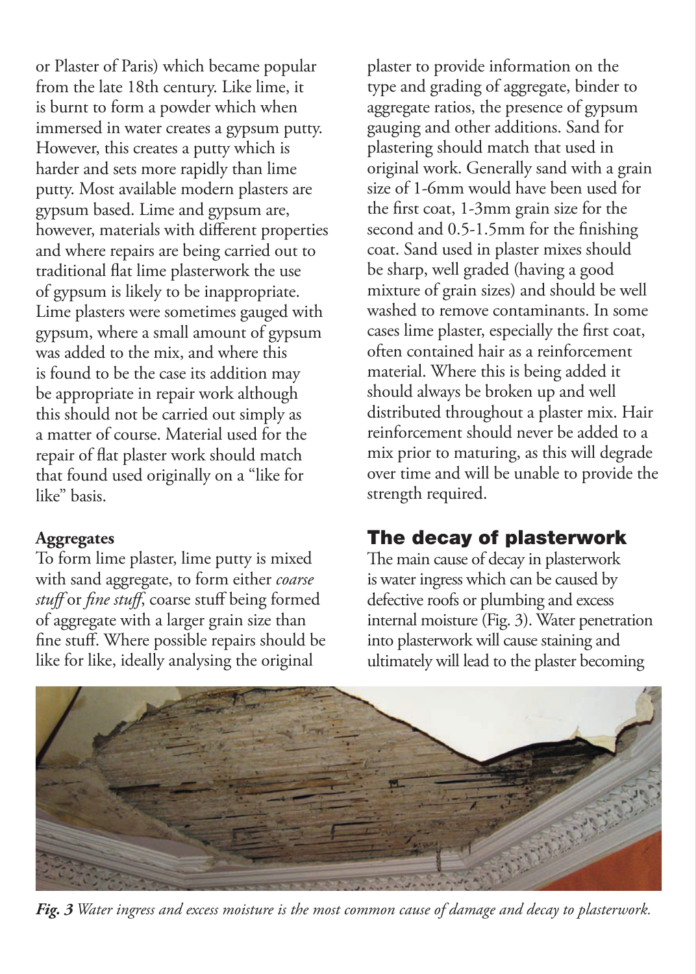or Plaster of Paris) which became popular from the late 18th century. Like lime, it is burnt to form a powder which when immersed in water creates a gypsum putty. However, this creates a putty which is harder and sets more rapidly than lime putty. Most available modern plasters are gypsum based. Lime and gypsum are, however, materials with different properties and where repairs are being carried out to traditional flat lime plasterwork the use of gypsum is likely to be inappropriate. Lime plasters were sometimes gauged with gypsum, where a small amount of gypsum was added to the mix, and where this is found to be the case its addition may be appropriate in repair work although this should not be carried out simply as a matter of course. Material used for the repair of flat plaster work should match that found used originally on a "like for like" basis.

#### **Aggregates**

To form lime plaster, lime putty is mixed with sand aggregate, to form either *coarse*  stuff or *fine stuff*, coarse stuff being formed of aggregate with a larger grain size than fine stuff. Where possible repairs should be like for like, ideally analysing the original

plaster to provide information on the type and grading of aggregate, binder to aggregate ratios, the presence of gypsum gauging and other additions. Sand for plastering should match that used in original work. Generally sand with a grain size of 1-6mm would have been used for the first coat, 1-3mm grain size for the second and 0.5-1.5mm for the finishing coat. Sand used in plaster mixes should be sharp, well graded (having a good mixture of grain sizes) and should be well washed to remove contaminants. In some cases lime plaster, especially the first coat, often contained hair as a reinforcement material. Where this is being added it should always be broken up and well distributed throughout a plaster mix. Hair reinforcement should never be added to a mix prior to maturing, as this will degrade over time and will be unable to provide the strength required.

## **The decay of plasterwork**

The main cause of decay in plasterwork is water ingress which can be caused by defective roofs or plumbing and excess internal moisture (Fig. 3). Water penetration into plasterwork will cause staining and ultimately will lead to the plaster becoming



*Fig. 3 Water ingress and excess moisture is the most common cause of damage and decay to plasterwork.*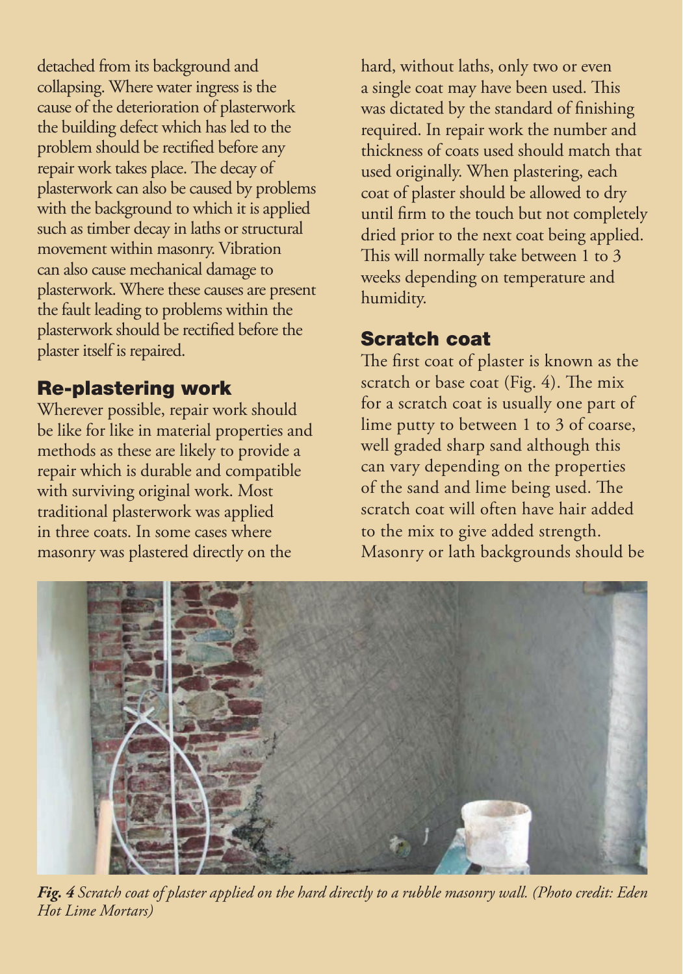detached from its background and collapsing. Where water ingress is the cause of the deterioration of plasterwork the building defect which has led to the problem should be rectified before any repair work takes place. The decay of plasterwork can also be caused by problems with the background to which it is applied such as timber decay in laths or structural movement within masonry. Vibration can also cause mechanical damage to plasterwork. Where these causes are present the fault leading to problems within the plasterwork should be rectified before the plaster itself is repaired.

# **Re-plastering work**

Wherever possible, repair work should be like for like in material properties and methods as these are likely to provide a repair which is durable and compatible with surviving original work. Most traditional plasterwork was applied in three coats. In some cases where masonry was plastered directly on the

hard, without laths, only two or even a single coat may have been used. This was dictated by the standard of finishing required. In repair work the number and thickness of coats used should match that used originally. When plastering, each coat of plaster should be allowed to dry until firm to the touch but not completely dried prior to the next coat being applied. This will normally take between 1 to 3 weeks depending on temperature and humidity.

# **Scratch coat**

The first coat of plaster is known as the scratch or base coat (Fig. 4). The mix for a scratch coat is usually one part of lime putty to between 1 to 3 of coarse, well graded sharp sand although this can vary depending on the properties of the sand and lime being used. The scratch coat will often have hair added to the mix to give added strength. Masonry or lath backgrounds should be



*Fig. 4 Scratch coat of plaster applied on the hard directly to a rubble masonry wall. (Photo credit: Eden Hot Lime Mortars)*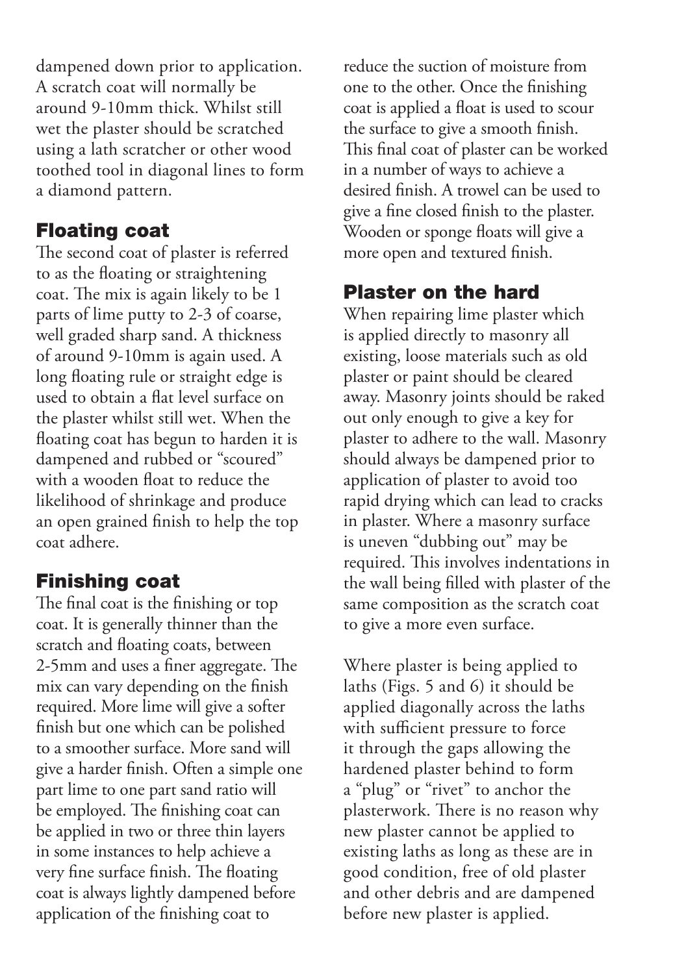dampened down prior to application. A scratch coat will normally be around 9-10mm thick. Whilst still wet the plaster should be scratched using a lath scratcher or other wood toothed tool in diagonal lines to form a diamond pattern.

## **Floating coat**

The second coat of plaster is referred to as the floating or straightening coat. The mix is again likely to be 1 parts of lime putty to 2-3 of coarse, well graded sharp sand. A thickness of around 9-10mm is again used. A long floating rule or straight edge is used to obtain a flat level surface on the plaster whilst still wet. When the floating coat has begun to harden it is dampened and rubbed or "scoured" with a wooden float to reduce the likelihood of shrinkage and produce an open grained finish to help the top coat adhere.

# **Finishing coat**

The final coat is the finishing or top coat. It is generally thinner than the scratch and floating coats, between 2-5mm and uses a finer aggregate. The mix can vary depending on the finish required. More lime will give a softer finish but one which can be polished to a smoother surface. More sand will give a harder finish. Often a simple one part lime to one part sand ratio will be employed. The finishing coat can be applied in two or three thin layers in some instances to help achieve a very fine surface finish. The floating coat is always lightly dampened before application of the finishing coat to

reduce the suction of moisture from one to the other. Once the finishing coat is applied a float is used to scour the surface to give a smooth finish. This final coat of plaster can be worked in a number of ways to achieve a desired finish. A trowel can be used to give a fine closed finish to the plaster. Wooden or sponge floats will give a more open and textured finish.

# **Plas ter on the hard**

When repairing lime plaster which is applied directly to masonry all existing, loose materials such as old plaster or paint should be cleared away. Masonry joints should be raked out only enough to give a key for plaster to adhere to the wall. Masonry should always be dampened prior to application of plaster to avoid too rapid drying which can lead to cracks in plaster. Where a masonry surface is uneven "dubbing out" may be required. This involves indentations in the wall being filled with plaster of the same composition as the scratch coat to give a more even surface.

Where plaster is being applied to laths (Figs. 5 and 6) it should be applied diagonally across the laths with sufficient pressure to force it through the gaps allowing the hardened plaster behind to form a "plug" or "rivet" to anchor the plasterwork. There is no reason why new plaster cannot be applied to existing laths as long as these are in good condition, free of old plaster and other debris and are dampened before new plaster is applied.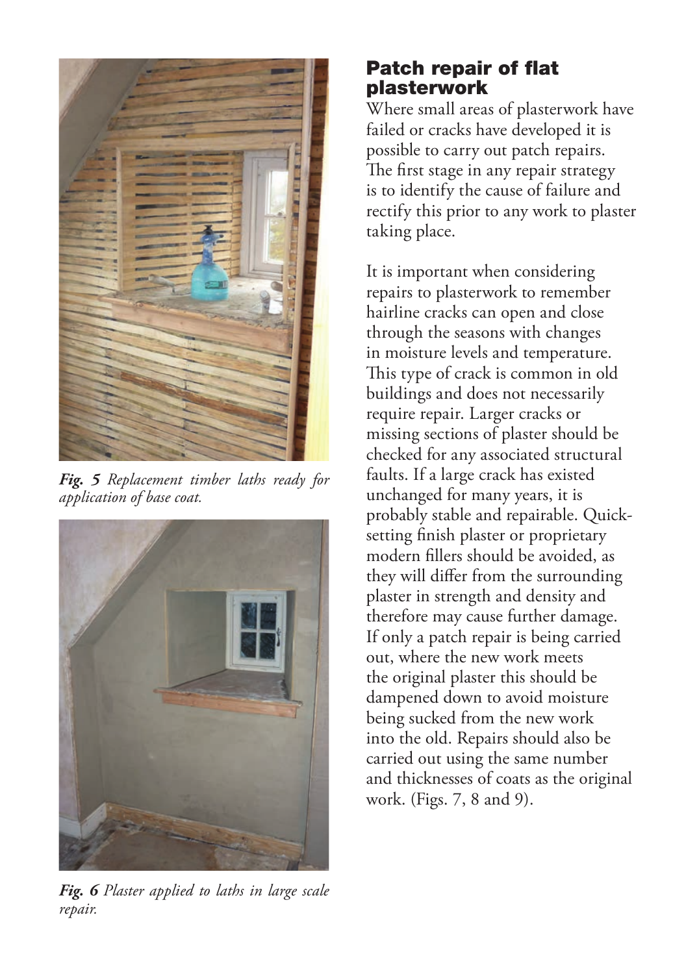

*Fig. 5 Replacement timber laths ready for application of base coat.*



*Fig. 6 Plaster applied to laths in large scale repair.*

## **Patch repair of flat plasterwork**

Where small areas of plasterwork have failed or cracks have developed it is possible to carry out patch repairs. The first stage in any repair strategy is to identify the cause of failure and rectify this prior to any work to plaster taking place.

It is important when considering repairs to plasterwork to remember hairline cracks can open and close through the seasons with changes in moisture levels and temperature. This type of crack is common in old buildings and does not necessarily require repair. Larger cracks or missing sections of plaster should be checked for any associated structural faults. If a large crack has existed unchanged for many years, it is probably stable and repairable. Quicksetting finish plaster or proprietary modern fillers should be avoided, as they will differ from the surrounding plaster in strength and density and therefore may cause further damage. If only a patch repair is being carried out, where the new work meets the original plaster this should be dampened down to avoid moisture being sucked from the new work into the old. Repairs should also be carried out using the same number and thicknesses of coats as the original work. (Figs. 7, 8 and 9).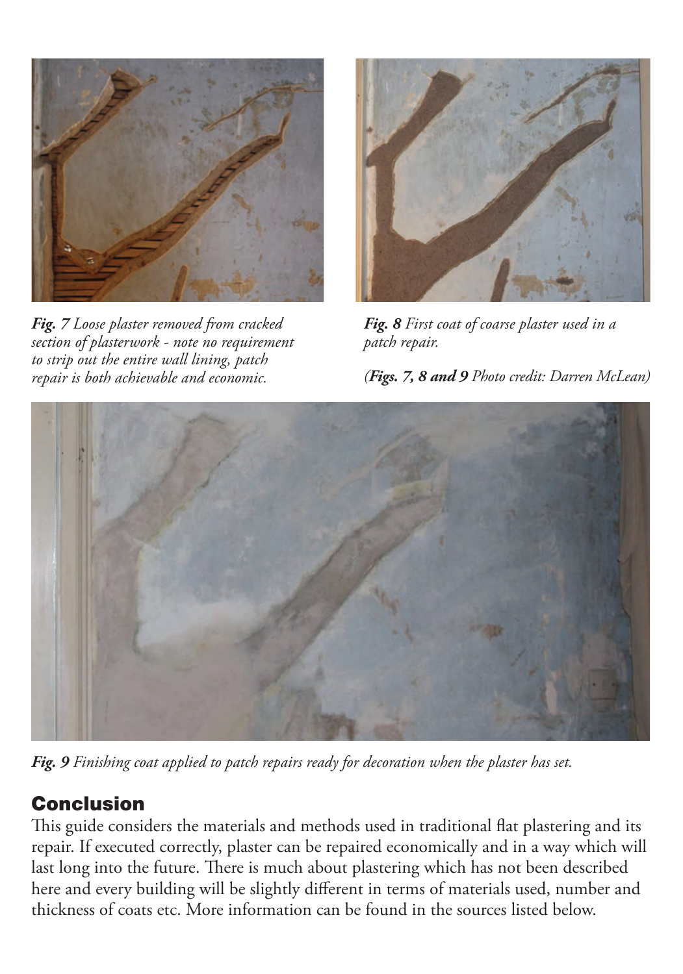

*Fig. 7 Loose plaster removed from cracked section of plasterwork - note no requirement to strip out the entire wall lining, patch repair is both achievable and economic.*



*Fig. 8 First coat of coarse plaster used in a patch repair.*





*Fig. 9 Finishing coat applied to patch repairs ready for decoration when the plaster has set.*

# **Conclusion**

This guide considers the materials and methods used in traditional flat plastering and its repair. If executed correctly, plaster can be repaired economically and in a way which will last long into the future. There is much about plastering which has not been described here and every building will be slightly different in terms of materials used, number and thickness of coats etc. More information can be found in the sources listed below.